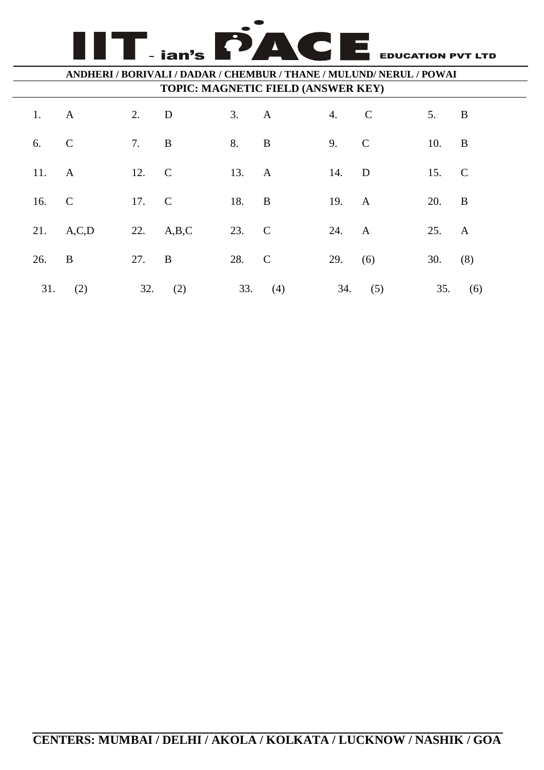**EDUCATION PVT LTD** 

#### **ANDHERI / BORIVALI / DADAR / CHEMBUR / THANE / MULUND/ NERUL / POWAI TOPIC: MAGNETIC FIELD (ANSWER KEY)**

ian's

 $\overline{\phantom{a}}$ N

|  | 1. A  |                | 2. D  |           |       | 3. A    | 4. C      |           | $5.$ B    |         |
|--|-------|----------------|-------|-----------|-------|---------|-----------|-----------|-----------|---------|
|  | 6. C  |                | 7. B  |           | 8. B  |         | 9. C      |           | 10. B     |         |
|  | 11. A |                | 12. C |           | 13. A |         | 14. D     |           | 15. C     |         |
|  | 16.   | $\overline{C}$ | 17. C |           | 18. B |         | 19. A     |           | 20. B     |         |
|  |       | 21. A,C,D      |       | 22. A,B,C | 23. C |         | 24. A     |           | 25. A     |         |
|  | 26.   | $\mathbf{B}$   | 27. B |           | 28. C |         | 29. $(6)$ |           | $30.$ (8) |         |
|  |       | $31.$ (2)      |       | $32.$ (2) |       | 33. (4) |           | $34.$ (5) |           | 35. (6) |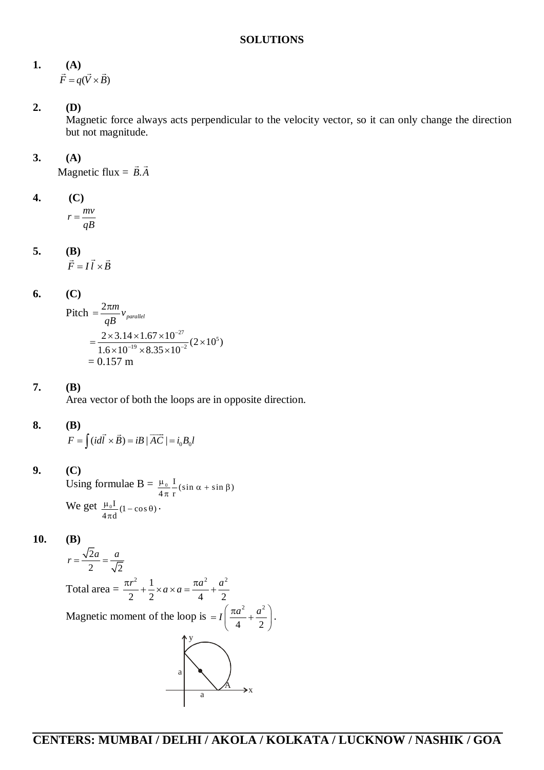#### **1. (A)**  $F = q(V \times B)$  $\begin{bmatrix} \mathbf{A} \\ \mathbf{A} \end{bmatrix}$

**2. (D)**

Magnetic force always acts perpendicular to the velocity vector, so it can only change the direction but not magnitude.

## **3. (A)**

Magnetic flux  $= \vec{B} \cdot \vec{A}$  $\rightarrow$   $\rightarrow$ 

4. (C)  

$$
r = \frac{mv}{qB}
$$

#### **5. (B)**  $F = I l \times B$  $\frac{D}{2}$   $\rightarrow$   $\rightarrow$

**6. (C)**

Pitch 
$$
=
$$
  $\frac{2\pi m}{qB}v_{parallel}$   
 $=$   $\frac{2 \times 3.14 \times 1.67 \times 10^{-27}}{1.6 \times 10^{-19} \times 8.35 \times 10^{-2}} (2 \times 10^5)$   
 $= 0.157$  m

## **7. (B)**

Area vector of both the loops are in opposite direction.

## **8. (B)**

 $F = \int (idl \times B) = iB \mid AC \mid = i_0 B_0 l$  $\rightarrow$   $\rightarrow$   $\rightarrow$ 

## **9. (C)**

Using formulae  $B = \frac{\mu_0}{4\pi} \frac{I}{r} (\sin \alpha + \sin \beta)$ We get  $\frac{\mu_0 I}{4\pi d} (1 - \cos \theta)$ .  $\frac{\mu_0}{4\pi} \frac{I}{r} (\sin \alpha + \sin \beta)$  $\frac{\mu_0 I}{4\pi d} (1 - \cos \theta)$ 

**10. (B)**

$$
r = \frac{\sqrt{2}a}{2} = \frac{a}{\sqrt{2}}
$$
  
Total area =  $\frac{\pi r^2}{2} + \frac{1}{2} \times a \times a = \frac{\pi a^2}{4} + \frac{a^2}{2}$   
Magnetic moment of the loop is =  $I\left(\frac{\pi a^2}{4} + \frac{a^2}{2}\right)$ .

.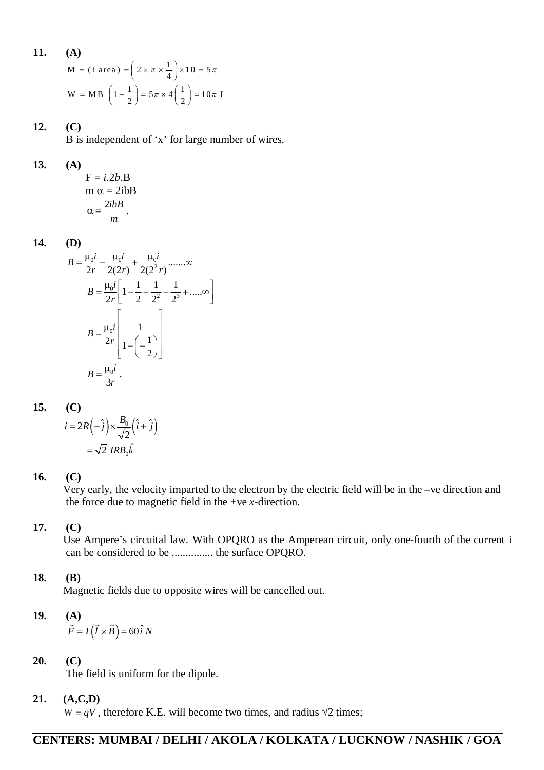11. (A)  
\n
$$
M = (I \text{ area}) = \left(2 \times \pi \times \frac{1}{4}\right) \times 10 = 5\pi
$$
\n
$$
W = MB \left(1 - \frac{1}{2}\right) = 5\pi \times 4\left(\frac{1}{2}\right) = 10\pi J
$$

## **12. (C)**

B is independent of 'x' for large number of wires.

### **13. (A)**

$$
F = i.2b.B
$$
  
\n
$$
m \alpha = 2i bB
$$
  
\n
$$
\alpha = \frac{2i bB}{m}.
$$

**14. (D)**

$$
B = \frac{\mu_0 i}{2r} - \frac{\mu_0 i}{2(2r)} + \frac{\mu_0 i}{2(2^2 r)} \dots \infty
$$
  
\n
$$
B = \frac{\mu_0 i}{2r} \left[ 1 - \frac{1}{2} + \frac{1}{2^2} - \frac{1}{2^3} + \dots \infty \right]
$$
  
\n
$$
B = \frac{\mu_0 i}{2r} \left[ \frac{1}{1 - \left( -\frac{1}{2} \right)} \right]
$$
  
\n
$$
B = \frac{\mu_0 i}{3r}.
$$

#### **15. (C)**

$$
i = 2R\left(-\hat{j}\right) \times \frac{B_0}{\sqrt{2}}\left(\hat{i} + \hat{j}\right)
$$

$$
= \sqrt{2} \, IRB_0 \hat{k}
$$

#### **16. (C)**

Very early, the velocity imparted to the electron by the electric field will be in the –ve direction and the force due to magnetic field in the +ve *x*-direction.

## **17. (C)**

Use Ampere's circuital law. With OPQRO as the Amperean circuit, only one-fourth of the current i can be considered to be ............... the surface OPQRO.

## **18. (B)**

Magnetic fields due to opposite wires will be cancelled out.

# **19. (A)**  $\vec{F} = I(\vec{l} \times \vec{B}) = 60 \hat{i} N$

## **20. (C)**

The field is uniform for the dipole.

## **21. (A,C,D)**

 $W = qV$ , therefore K.E. will become two times, and radius  $\sqrt{2}$  times;

# **CENTERS: MUMBAI / DELHI / AKOLA / KOLKATA / LUCKNOW / NASHIK / GOA**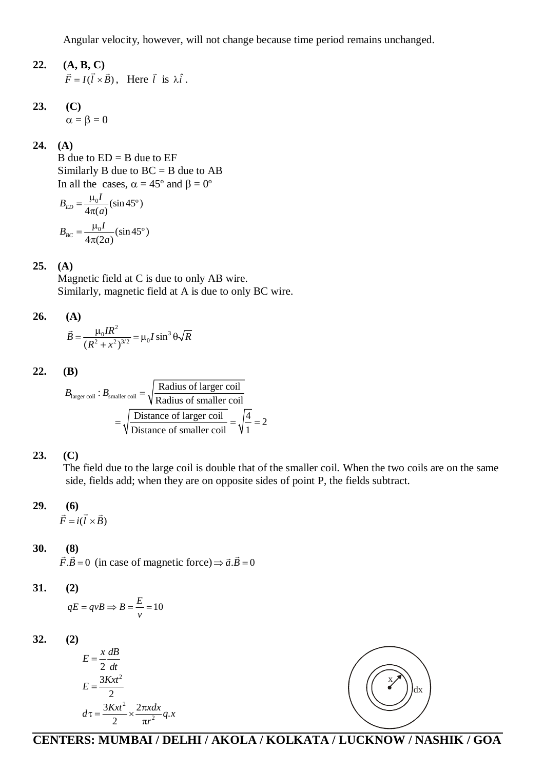Angular velocity, however, will not change because time period remains unchanged.

#### **22. (A, B, C)**   $\ddot{F} = I(l \times B),$  $\mathbf{A}, \mathbf{D}, \mathbf{C}$ , Here *l*  $\vec{l}$  is  $\lambda \hat{i}$ .

**23. (C)**  $\alpha = \beta = 0$ 

**24. (A)**

B due to  $ED = B$  due to  $EF$ Similarly B due to  $BC = B$  due to  $AB$ In all the cases,  $\alpha = 45^{\circ}$  and  $\beta = 0^{\circ}$ 

$$
B_{ED} = \frac{\mu_0 I}{4\pi(a)} (\sin 45^\circ)
$$
  

$$
B_{BC} = \frac{\mu_0 I}{4\pi(2a)} (\sin 45^\circ)
$$

#### **25. (A)**

Magnetic field at C is due to only AB wire. Similarly, magnetic field at A is due to only BC wire.

**26.** (A)  

$$
\vec{B} = \frac{\mu_0 I R^2}{(R^2 + x^2)^{3/2}} = \mu_0 I \sin^3 \theta \sqrt{R}
$$

**22. (B)**

$$
B_{\text{larger coil}}: B_{\text{smaller coil}} = \sqrt{\frac{\text{Radius of larger coil}}{\text{Radius of smaller coil}}}
$$

$$
= \sqrt{\frac{\text{Distance of larger coil}}{\text{Distance of smaller coil}}} = \sqrt{\frac{4}{1}} = 2
$$

$$
23. (C)
$$

The field due to the large coil is double that of the smaller coil. When the two coils are on the same side, fields add; when they are on opposite sides of point P, the fields subtract.

29. (6)  

$$
\vec{F} = i(\vec{l} \times \vec{B})
$$

#### **30. (8)**  $\frac{1}{2}$

 $\ddot{F} \cdot \dot{B} = 0$ (in case of magnetic force)  $\Rightarrow \vec{a} \cdot \vec{B} = 0$ 

#### **31. (2)**

$$
qE = qvB \Rightarrow B = \frac{E}{v} = 10
$$

**32. (2)**

$$
E = \frac{x}{2} \frac{dB}{dt}
$$
  
\n
$$
E = \frac{3Kxt^2}{2}
$$
  
\n
$$
d\tau = \frac{3Kxt^2}{2} \times \frac{2\pi x dx}{\pi r^2} q.x
$$



# **CENTERS: MUMBAI / DELHI / AKOLA / KOLKATA / LUCKNOW / NASHIK / GOA**